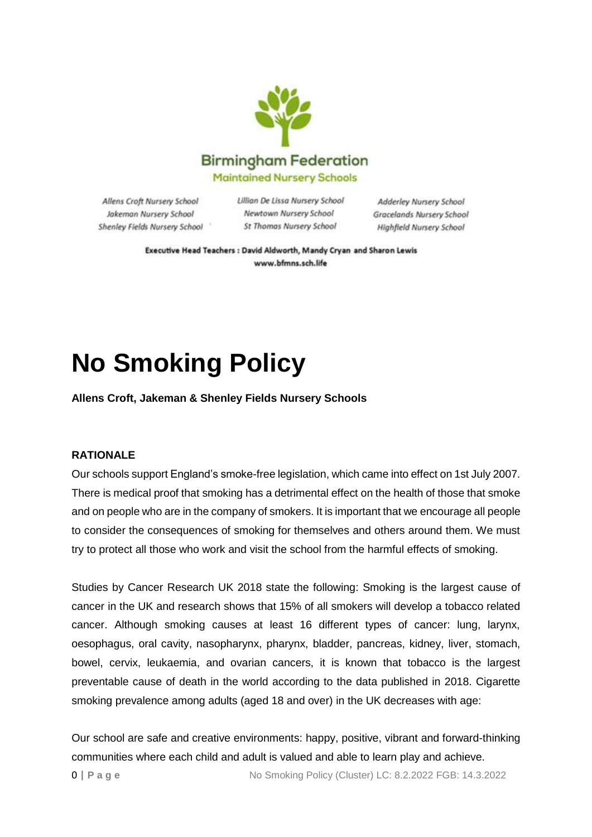

Allens Croft Nursery School Jakeman Nursery School Shenley Fields Nursery School Lillian De Lissa Nursery School Newtown Nursery School St Thomas Nursery School

Adderley Nursery School Gracelands Nursery School Highfield Nursery School

Executive Head Teachers : David Aldworth, Mandy Cryan and Sharon Lewis www.bfmns.sch.life

## **No Smoking Policy**

**Allens Croft, Jakeman & Shenley Fields Nursery Schools**

## **RATIONALE**

Our schools support England's smoke-free legislation, which came into effect on 1st July 2007. There is medical proof that smoking has a detrimental effect on the health of those that smoke and on people who are in the company of smokers. It is important that we encourage all people to consider the consequences of smoking for themselves and others around them. We must try to protect all those who work and visit the school from the harmful effects of smoking.

Studies by Cancer Research UK 2018 state the following: Smoking is the largest cause of cancer in the UK and research shows that 15% of all smokers will develop a tobacco related cancer. Although smoking causes at least 16 different types of cancer: lung, larynx, oesophagus, oral cavity, nasopharynx, pharynx, bladder, pancreas, kidney, liver, stomach, bowel, cervix, leukaemia, and ovarian cancers, it is known that tobacco is the largest preventable cause of death in the world according to the data published in 2018. Cigarette smoking prevalence among adults (aged 18 and over) in the UK decreases with age:

Our school are safe and creative environments: happy, positive, vibrant and forward-thinking communities where each child and adult is valued and able to learn play and achieve.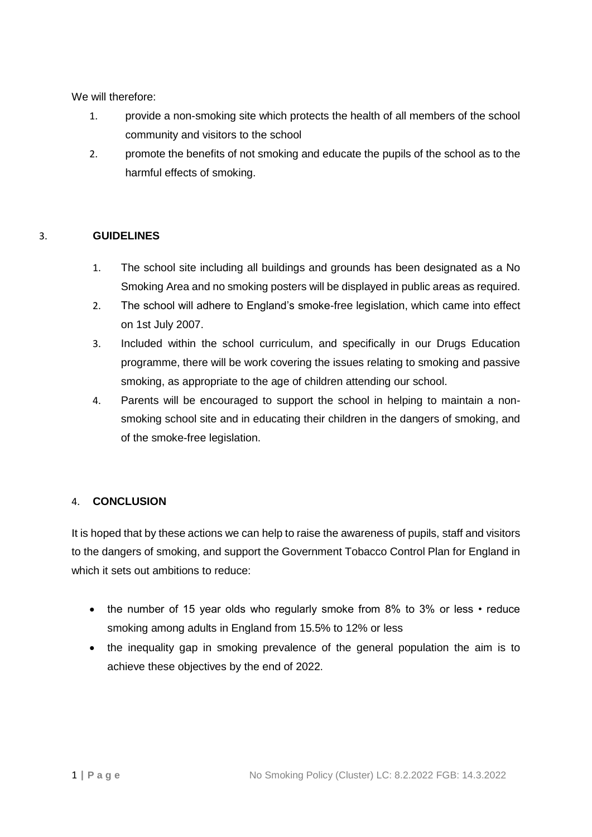We will therefore:

- 1. provide a non-smoking site which protects the health of all members of the school community and visitors to the school
- 2. promote the benefits of not smoking and educate the pupils of the school as to the harmful effects of smoking.

## 3. **GUIDELINES**

- 1. The school site including all buildings and grounds has been designated as a No Smoking Area and no smoking posters will be displayed in public areas as required.
- 2. The school will adhere to England's smoke-free legislation, which came into effect on 1st July 2007.
- 3. Included within the school curriculum, and specifically in our Drugs Education programme, there will be work covering the issues relating to smoking and passive smoking, as appropriate to the age of children attending our school.
- 4. Parents will be encouraged to support the school in helping to maintain a nonsmoking school site and in educating their children in the dangers of smoking, and of the smoke-free legislation.

## 4. **CONCLUSION**

It is hoped that by these actions we can help to raise the awareness of pupils, staff and visitors to the dangers of smoking, and support the Government Tobacco Control Plan for England in which it sets out ambitions to reduce:

- the number of 15 year olds who regularly smoke from 8% to 3% or less reduce smoking among adults in England from 15.5% to 12% or less
- the inequality gap in smoking prevalence of the general population the aim is to achieve these objectives by the end of 2022.